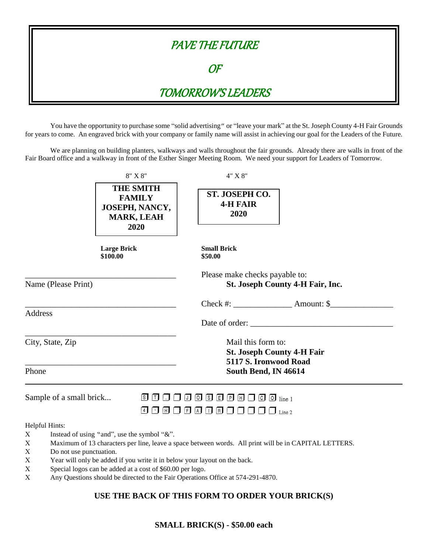

You have the opportunity to purchase some "solid advertising" or "leave your mark" at the St. Joseph County 4-H Fair Grounds for years to come. An engraved brick with your company or family name will assist in achieving our goal for the Leaders of the Future.

We are planning on building planters, walkways and walls throughout the fair grounds. Already there are walls in front of the Fair Board office and a walkway in front of the Esther Singer Meeting Room. We need your support for Leaders of Tomorrow.

| <b>THE SMITH</b><br>ST. JOSEPH CO.<br><b>FAMILY</b><br><b>4-H FAIR</b><br>JOSEPH, NANCY,<br>2020<br><b>MARK, LEAH</b><br>2020<br><b>Large Brick</b><br><b>Small Brick</b><br>\$100.00<br>\$50.00<br>Please make checks payable to:<br>Name (Please Print)<br>St. Joseph County 4-H Fair, Inc.<br>the control of the control of the control of the control of the control of the control of<br><b>Address</b>                                                                                                                                                                                                                                                                                                                                                                                                                 | 4" X 8"        | $8"$ X $8"$ |  |
|------------------------------------------------------------------------------------------------------------------------------------------------------------------------------------------------------------------------------------------------------------------------------------------------------------------------------------------------------------------------------------------------------------------------------------------------------------------------------------------------------------------------------------------------------------------------------------------------------------------------------------------------------------------------------------------------------------------------------------------------------------------------------------------------------------------------------|----------------|-------------|--|
|                                                                                                                                                                                                                                                                                                                                                                                                                                                                                                                                                                                                                                                                                                                                                                                                                              |                |             |  |
|                                                                                                                                                                                                                                                                                                                                                                                                                                                                                                                                                                                                                                                                                                                                                                                                                              |                |             |  |
|                                                                                                                                                                                                                                                                                                                                                                                                                                                                                                                                                                                                                                                                                                                                                                                                                              |                |             |  |
|                                                                                                                                                                                                                                                                                                                                                                                                                                                                                                                                                                                                                                                                                                                                                                                                                              | Date of order: |             |  |
| City, State, Zip<br>Mail this form to:<br><b>St. Joseph County 4-H Fair</b><br>5117 S. Ironwood Road                                                                                                                                                                                                                                                                                                                                                                                                                                                                                                                                                                                                                                                                                                                         |                |             |  |
| Phone<br>South Bend, IN 46614                                                                                                                                                                                                                                                                                                                                                                                                                                                                                                                                                                                                                                                                                                                                                                                                |                |             |  |
| $\texttt{S} \hspace{0.05cm}\textbf{O} \hspace{0.05cm}\textbf{O} \hspace{0.05cm}\textbf{O} \hspace{0.05cm}\textbf{O} \hspace{0.05cm}\textbf{S} \hspace{0.05cm}\textbf{E} \hspace{0.05cm}\textbf{P} \hspace{0.05cm}\textbf{H} \hspace{0.05cm}\textbf{O} \hspace{0.05cm}\textbf{O} \hspace{0.05cm}\text{in} \hspace{0.05cm}\text{in} \hspace{0.05cm}\text{in} \hspace{0.05cm}\text{in} \hspace{0.05$<br>Sample of a small brick<br>$\text{1.1}\ \text{1.1}\ \text{1.1}\ \text{1.1}\ \text{1.1}\ \text{1.1}\ \text{1.1}\ \text{1.1}\ \text{1.1}\ \text{1.1}\ \text{1.1}\ \text{1.1}\ \text{1.1}\ \text{1.1}\ \text{1.1}\ \text{1.1}\ \text{1.1}\ \text{1.1}\ \text{1.1}\ \text{1.1}\ \text{1.1}\ \text{1.1}\ \text{1.1}\ \text{1.1}\ \text{1.1}\ \text{1.1}\ \text{1.1}\ \text{1.1}\ \text{1.1}\ \text{1.1}\ \text{1.1}\ \text{$ |                |             |  |
| Helpful Hints:<br>Instead of using "and", use the symbol "&".<br>X.<br>Maximum of 13 characters per line, leave a space between words. All print will be in CAPITAL LETTERS.<br>X<br>X<br>Do not use punctuation.<br>Year will only be added if you write it in below your layout on the back.<br>X<br>Special logos can be added at a cost of \$60.00 per logo.<br>X<br>Any Questions should be directed to the Fair Operations Office at 574-291-4870.<br>X                                                                                                                                                                                                                                                                                                                                                                |                |             |  |

## **USE THE BACK OF THIS FORM TO ORDER YOUR BRICK(S)**